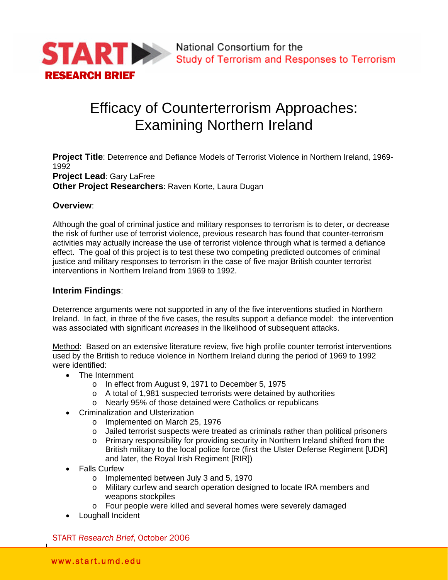

# Efficacy of Counterterrorism Approaches: Examining Northern Ireland

**Project Title**: Deterrence and Defiance Models of Terrorist Violence in Northern Ireland, 1969- 1992 **Project Lead**: Gary LaFree **Other Project Researchers**: Raven Korte, Laura Dugan

#### **Overview**:

Although the goal of criminal justice and military responses to terrorism is to deter, or decrease the risk of further use of terrorist violence, previous research has found that counter-terrorism activities may actually increase the use of terrorist violence through what is termed a defiance effect. The goal of this project is to test these two competing predicted outcomes of criminal justice and military responses to terrorism in the case of five major British counter terrorist interventions in Northern Ireland from 1969 to 1992.

### **Interim Findings**:

Deterrence arguments were not supported in any of the five interventions studied in Northern Ireland. In fact, in three of the five cases, the results support a defiance model: the intervention was associated with significant *increases* in the likelihood of subsequent attacks.

Method: Based on an extensive literature review, five high profile counter terrorist interventions used by the British to reduce violence in Northern Ireland during the period of 1969 to 1992 were identified:

- The Internment
	- o In effect from August 9, 1971 to December 5, 1975
	- o A total of 1,981 suspected terrorists were detained by authorities
	- o Nearly 95% of those detained were Catholics or republicans
- Criminalization and Ulsterization
	- o Implemented on March 25, 1976
	- o Jailed terrorist suspects were treated as criminals rather than political prisoners
	- o Primary responsibility for providing security in Northern Ireland shifted from the British military to the local police force (first the Ulster Defense Regiment [UDR] and later, the Royal Irish Regiment [RIR])
- Falls Curfew
	- o Implemented between July 3 and 5, 1970
	- o Military curfew and search operation designed to locate IRA members and weapons stockpiles
	- o Four people were killed and several homes were severely damaged
- Loughall Incident

START *Research Brief*, October 2006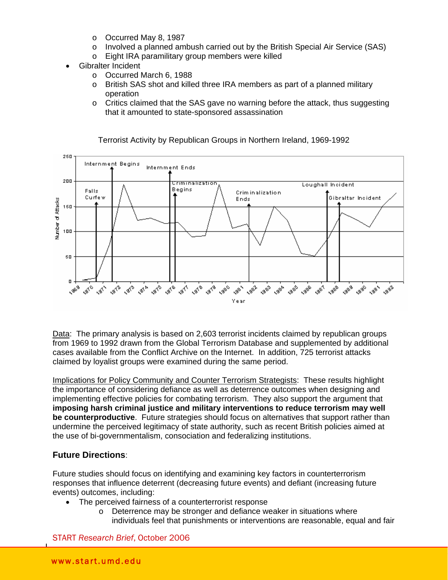- o Occurred May 8, 1987
- o Involved a planned ambush carried out by the British Special Air Service (SAS)
- o Eight IRA paramilitary group members were killed
- Gibralter Incident
	- o Occurred March 6, 1988
	- o British SAS shot and killed three IRA members as part of a planned military operation
	- o Critics claimed that the SAS gave no warning before the attack, thus suggesting that it amounted to state-sponsored assassination



Terrorist Activity by Republican Groups in Northern Ireland, 1969-1992

Data: The primary analysis is based on 2,603 terrorist incidents claimed by republican groups from 1969 to 1992 drawn from the Global Terrorism Database and supplemented by additional cases available from the Conflict Archive on the Internet. In addition, 725 terrorist attacks claimed by loyalist groups were examined during the same period.

Implications for Policy Community and Counter Terrorism Strategists: These results highlight the importance of considering defiance as well as deterrence outcomes when designing and implementing effective policies for combating terrorism. They also support the argument that **imposing harsh criminal justice and military interventions to reduce terrorism may well be counterproductive**. Future strategies should focus on alternatives that support rather than undermine the perceived legitimacy of state authority, such as recent British policies aimed at the use of bi-governmentalism, consociation and federalizing institutions.

## **Future Directions**:

Future studies should focus on identifying and examining key factors in counterterrorism responses that influence deterrent (decreasing future events) and defiant (increasing future events) outcomes, including:

- The perceived fairness of a counterterrorist response
	- o Deterrence may be stronger and defiance weaker in situations where individuals feel that punishments or interventions are reasonable, equal and fair

START *Research Brief*, October 2006